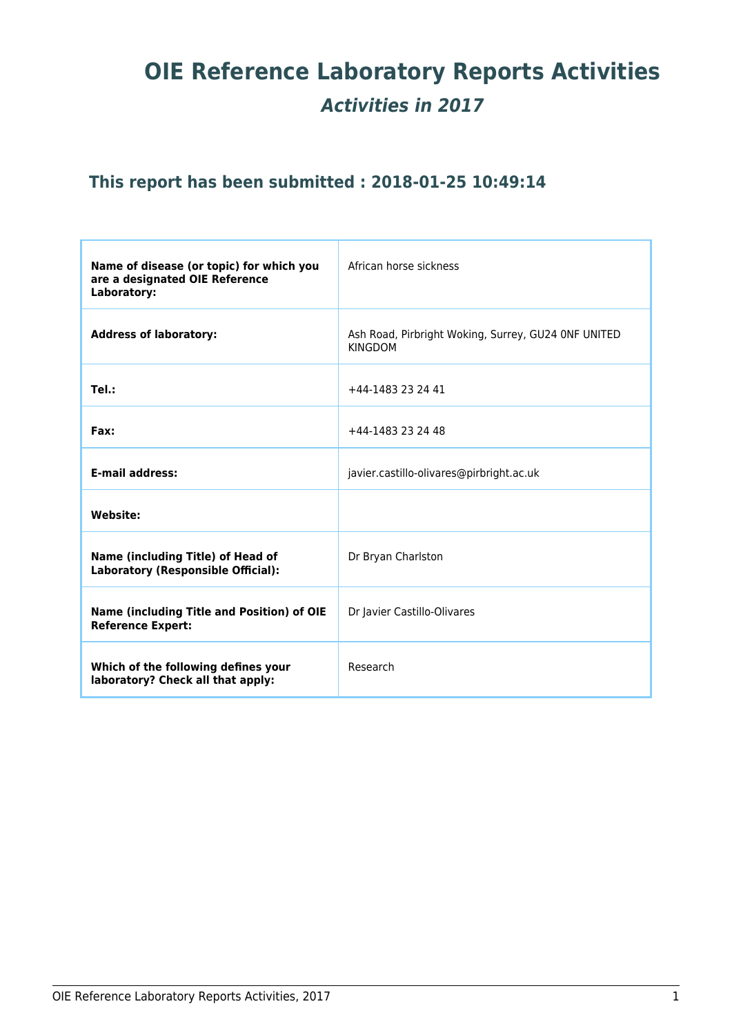# **OIE Reference Laboratory Reports Activities** *Activities in 2017*

# **This report has been submitted : 2018-01-25 10:49:14**

| Name of disease (or topic) for which you<br>are a designated OIE Reference<br>Laboratory: | African horse sickness                                                |
|-------------------------------------------------------------------------------------------|-----------------------------------------------------------------------|
| <b>Address of laboratory:</b>                                                             | Ash Road, Pirbright Woking, Surrey, GU24 ONF UNITED<br><b>KINGDOM</b> |
| Tel.:                                                                                     | +44-1483 23 24 41                                                     |
| Fax:                                                                                      | +44-1483 23 24 48                                                     |
| <b>E-mail address:</b>                                                                    | javier.castillo-olivares@pirbright.ac.uk                              |
| <b>Website:</b>                                                                           |                                                                       |
| Name (including Title) of Head of<br>Laboratory (Responsible Official):                   | Dr Bryan Charlston                                                    |
| Name (including Title and Position) of OIE<br><b>Reference Expert:</b>                    | Dr Javier Castillo-Olivares                                           |
| Which of the following defines your<br>laboratory? Check all that apply:                  | Research                                                              |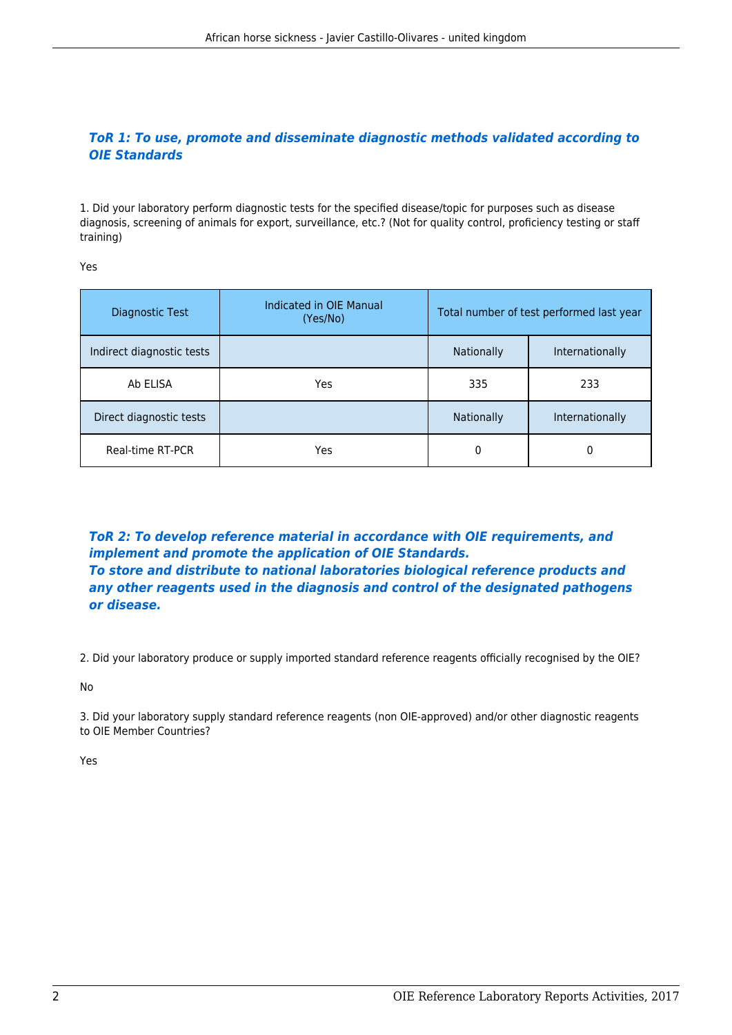# *ToR 1: To use, promote and disseminate diagnostic methods validated according to OIE Standards*

1. Did your laboratory perform diagnostic tests for the specified disease/topic for purposes such as disease diagnosis, screening of animals for export, surveillance, etc.? (Not for quality control, proficiency testing or staff training)

Yes

| Diagnostic Test           | Indicated in OIE Manual<br>(Yes/No) | Total number of test performed last year |                 |
|---------------------------|-------------------------------------|------------------------------------------|-----------------|
| Indirect diagnostic tests |                                     | <b>Nationally</b>                        | Internationally |
| Ab ELISA                  | Yes                                 | 335                                      | 233             |
| Direct diagnostic tests   |                                     | <b>Nationally</b>                        | Internationally |
| Real-time RT-PCR          | Yes                                 | 0                                        | 0               |

*ToR 2: To develop reference material in accordance with OIE requirements, and implement and promote the application of OIE Standards. To store and distribute to national laboratories biological reference products and any other reagents used in the diagnosis and control of the designated pathogens or disease.*

2. Did your laboratory produce or supply imported standard reference reagents officially recognised by the OIE?

No

3. Did your laboratory supply standard reference reagents (non OIE-approved) and/or other diagnostic reagents to OIE Member Countries?

Yes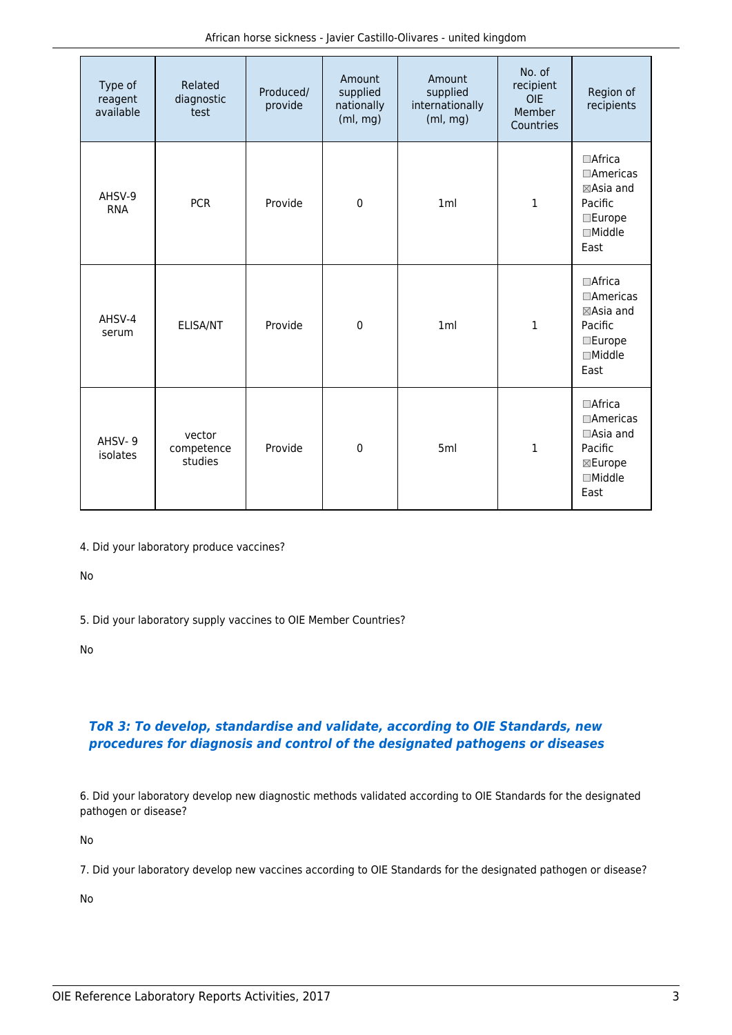| Type of<br>reagent<br>available | Related<br>diagnostic<br>test   | Produced/<br>provide | Amount<br>supplied<br>nationally<br>(ml, mg) | Amount<br>supplied<br>internationally<br>(ml, mg) | No. of<br>recipient<br><b>OIE</b><br>Member<br>Countries | Region of<br>recipients                                                                               |
|---------------------------------|---------------------------------|----------------------|----------------------------------------------|---------------------------------------------------|----------------------------------------------------------|-------------------------------------------------------------------------------------------------------|
| AHSV-9<br><b>RNA</b>            | <b>PCR</b>                      | Provide              | $\mathbf 0$                                  | 1ml                                               | $\mathbf{1}$                                             | $\Box$ Africa<br>$\Box$ Americas<br>⊠Asia and<br>Pacific<br>$\square$ Europe<br>$\Box$ Middle<br>East |
| AHSV-4<br>serum                 | ELISA/NT                        | Provide              | $\mathbf 0$                                  | 1ml                                               | 1                                                        | $\Box$ Africa<br>$\Box$ Americas<br>⊠Asia and<br>Pacific<br>$\square$ Europe<br>$\Box$ Middle<br>East |
| AHSV-9<br>isolates              | vector<br>competence<br>studies | Provide              | $\mathbf 0$                                  | 5ml                                               | $\mathbf{1}$                                             | □Africa<br>□Americas<br>□Asia and<br>Pacific<br>⊠Europe<br>$\Box$ Middle<br>East                      |

4. Did your laboratory produce vaccines?

No

5. Did your laboratory supply vaccines to OIE Member Countries?

No

# *ToR 3: To develop, standardise and validate, according to OIE Standards, new procedures for diagnosis and control of the designated pathogens or diseases*

6. Did your laboratory develop new diagnostic methods validated according to OIE Standards for the designated pathogen or disease?

No

7. Did your laboratory develop new vaccines according to OIE Standards for the designated pathogen or disease?

No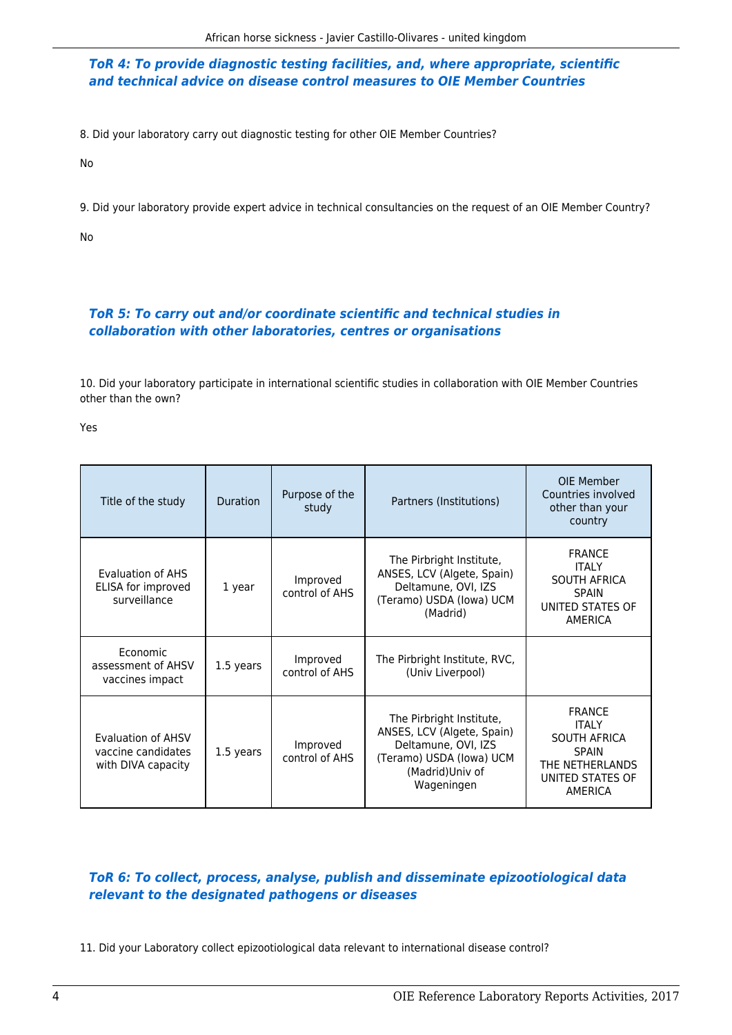## *ToR 4: To provide diagnostic testing facilities, and, where appropriate, scientific and technical advice on disease control measures to OIE Member Countries*

8. Did your laboratory carry out diagnostic testing for other OIE Member Countries?

No

9. Did your laboratory provide expert advice in technical consultancies on the request of an OIE Member Country?

No

# *ToR 5: To carry out and/or coordinate scientific and technical studies in collaboration with other laboratories, centres or organisations*

10. Did your laboratory participate in international scientific studies in collaboration with OIE Member Countries other than the own?

Yes

| Title of the study                                             | <b>Duration</b> | Purpose of the<br>study    | Partners (Institutions)                                                                                                                    | OIE Member<br>Countries involved<br>other than your<br>country                                                                |
|----------------------------------------------------------------|-----------------|----------------------------|--------------------------------------------------------------------------------------------------------------------------------------------|-------------------------------------------------------------------------------------------------------------------------------|
| Evaluation of AHS<br>ELISA for improved<br>surveillance        | 1 year          | Improved<br>control of AHS | The Pirbright Institute,<br>ANSES, LCV (Algete, Spain)<br>Deltamune, OVI, IZS<br>(Teramo) USDA (lowa) UCM<br>(Madrid)                      | <b>FRANCE</b><br><b>ITALY</b><br><b>SOUTH AFRICA</b><br><b>SPAIN</b><br>UNITED STATES OF<br>AMERICA                           |
| Economic<br>assessment of AHSV<br>vaccines impact              | 1.5 years       | Improved<br>control of AHS | The Pirbright Institute, RVC,<br>(Univ Liverpool)                                                                                          |                                                                                                                               |
| Evaluation of AHSV<br>vaccine candidates<br>with DIVA capacity | 1.5 years       | Improved<br>control of AHS | The Pirbright Institute,<br>ANSES, LCV (Algete, Spain)<br>Deltamune, OVI, IZS<br>(Teramo) USDA (lowa) UCM<br>(Madrid)Univ of<br>Wageningen | <b>FRANCE</b><br><b>ITAIY</b><br><b>SOUTH AFRICA</b><br><b>SPAIN</b><br>THE NETHERLANDS<br>UNITED STATES OF<br><b>AMERICA</b> |

# *ToR 6: To collect, process, analyse, publish and disseminate epizootiological data relevant to the designated pathogens or diseases*

11. Did your Laboratory collect epizootiological data relevant to international disease control?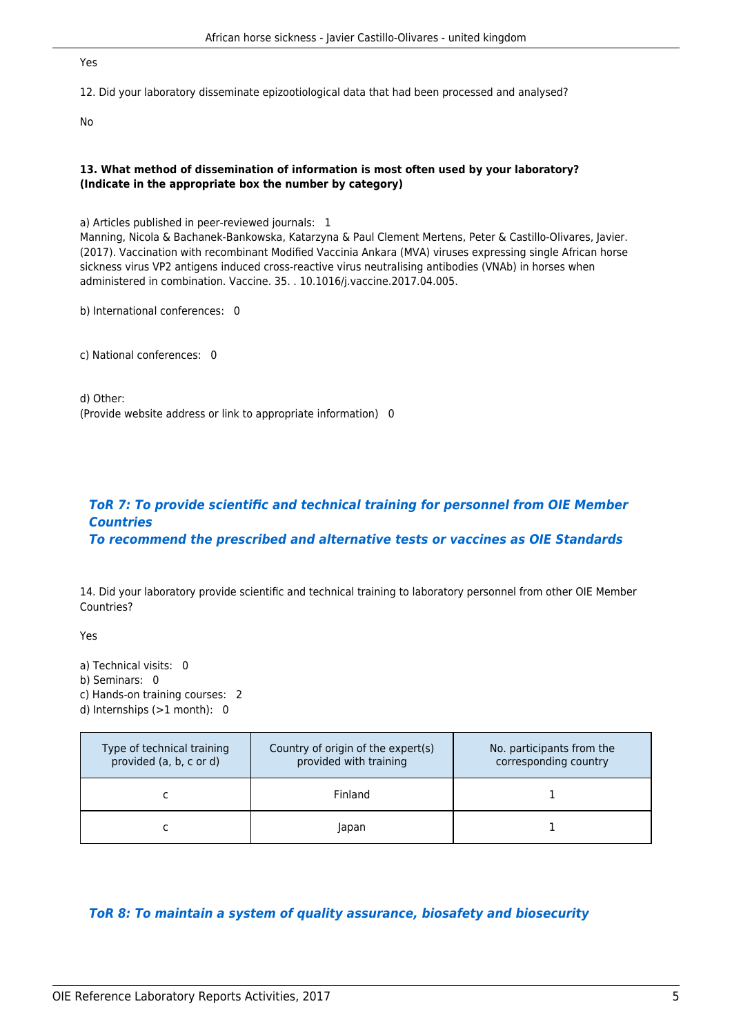#### Yes

12. Did your laboratory disseminate epizootiological data that had been processed and analysed?

No

#### **13. What method of dissemination of information is most often used by your laboratory? (Indicate in the appropriate box the number by category)**

a) Articles published in peer-reviewed journals: 1 Manning, Nicola & Bachanek-Bankowska, Katarzyna & Paul Clement Mertens, Peter & Castillo-Olivares, Javier. (2017). Vaccination with recombinant Modified Vaccinia Ankara (MVA) viruses expressing single African horse sickness virus VP2 antigens induced cross-reactive virus neutralising antibodies (VNAb) in horses when administered in combination. Vaccine. 35. . 10.1016/j.vaccine.2017.04.005.

b) International conferences: 0

c) National conferences: 0

d) Other: (Provide website address or link to appropriate information) 0

#### *ToR 7: To provide scientific and technical training for personnel from OIE Member Countries To recommend the prescribed and alternative tests or vaccines as OIE Standards*

14. Did your laboratory provide scientific and technical training to laboratory personnel from other OIE Member Countries?

Yes

a) Technical visits: 0 b) Seminars: 0

c) Hands-on training courses: 2

d) Internships (>1 month): 0

| Type of technical training<br>provided (a, b, c or d) | Country of origin of the expert(s)<br>provided with training | No. participants from the<br>corresponding country |
|-------------------------------------------------------|--------------------------------------------------------------|----------------------------------------------------|
|                                                       | Finland                                                      |                                                    |
|                                                       | Japan                                                        |                                                    |

# *ToR 8: To maintain a system of quality assurance, biosafety and biosecurity*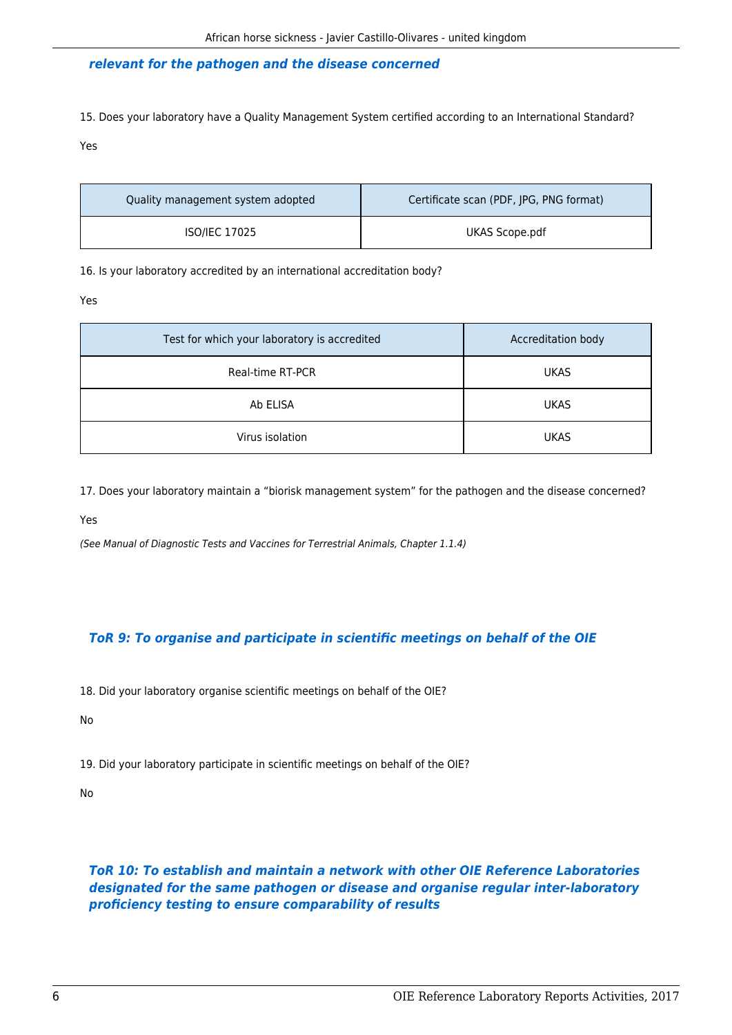#### *relevant for the pathogen and the disease concerned*

15. Does your laboratory have a Quality Management System certified according to an International Standard?

Yes

| Quality management system adopted | Certificate scan (PDF, IPG, PNG format) |
|-----------------------------------|-----------------------------------------|
| <b>ISO/IEC 17025</b>              | UKAS Scope.pdf                          |

16. Is your laboratory accredited by an international accreditation body?

Yes

| Test for which your laboratory is accredited | Accreditation body |
|----------------------------------------------|--------------------|
| Real-time RT-PCR                             | <b>UKAS</b>        |
| Ab ELISA                                     | <b>UKAS</b>        |
| Virus isolation                              | <b>UKAS</b>        |

17. Does your laboratory maintain a "biorisk management system" for the pathogen and the disease concerned?

Yes

(See Manual of Diagnostic Tests and Vaccines for Terrestrial Animals, Chapter 1.1.4)

# *ToR 9: To organise and participate in scientific meetings on behalf of the OIE*

18. Did your laboratory organise scientific meetings on behalf of the OIE?

No

19. Did your laboratory participate in scientific meetings on behalf of the OIE?

No

*ToR 10: To establish and maintain a network with other OIE Reference Laboratories designated for the same pathogen or disease and organise regular inter-laboratory proficiency testing to ensure comparability of results*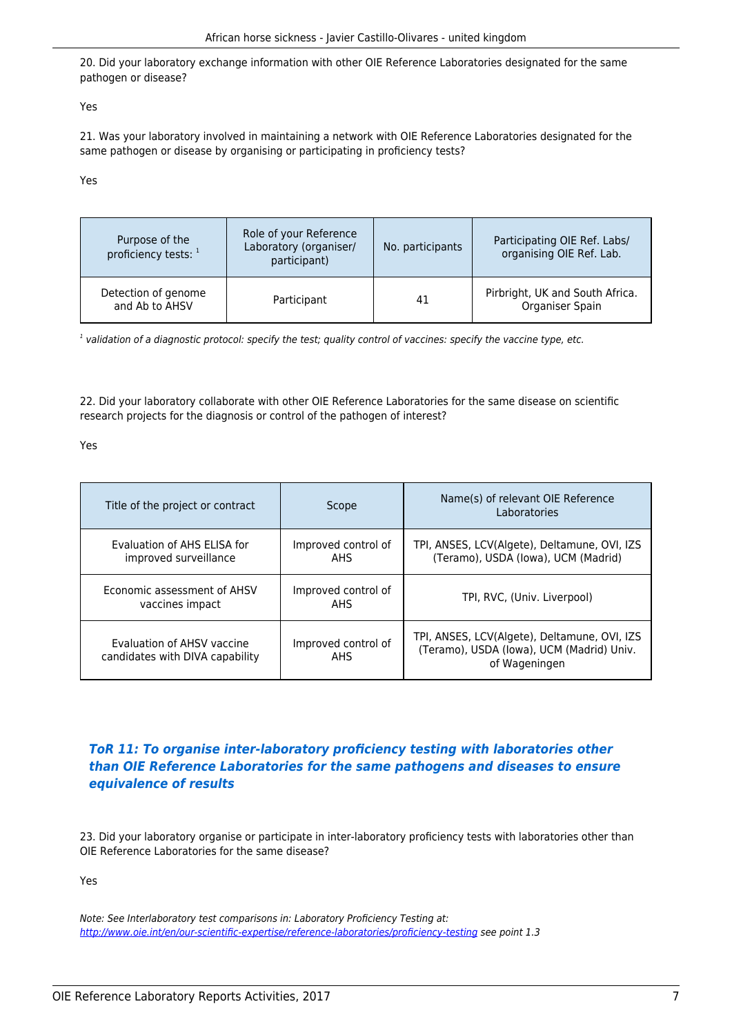20. Did your laboratory exchange information with other OIE Reference Laboratories designated for the same pathogen or disease?

Yes

21. Was your laboratory involved in maintaining a network with OIE Reference Laboratories designated for the same pathogen or disease by organising or participating in proficiency tests?

Yes

| Purpose of the<br>proficiency tests: 1 | Role of your Reference<br>Laboratory (organiser/<br>participant) | No. participants | Participating OIE Ref. Labs/<br>organising OIE Ref. Lab. |
|----------------------------------------|------------------------------------------------------------------|------------------|----------------------------------------------------------|
| Detection of genome<br>and Ab to AHSV  | Participant                                                      | 41               | Pirbright, UK and South Africa.<br>Organiser Spain       |

 $^{\rm 1}$  validation of a diagnostic protocol: specify the test; quality control of vaccines: specify the vaccine type, etc.

22. Did your laboratory collaborate with other OIE Reference Laboratories for the same disease on scientific research projects for the diagnosis or control of the pathogen of interest?

Yes

| Title of the project or contract                              | Scope                             | Name(s) of relevant OIE Reference<br>Laboratories                                                          |
|---------------------------------------------------------------|-----------------------------------|------------------------------------------------------------------------------------------------------------|
| Evaluation of AHS ELISA for<br>improved surveillance          | Improved control of<br>AHS        | TPI, ANSES, LCV(Algete), Deltamune, OVI, IZS<br>(Teramo), USDA (Iowa), UCM (Madrid)                        |
| Economic assessment of AHSV<br>vaccines impact                | Improved control of<br>AHS.       | TPI, RVC, (Univ. Liverpool)                                                                                |
| Evaluation of AHSV vaccine<br>candidates with DIVA capability | Improved control of<br><b>AHS</b> | TPI, ANSES, LCV(Algete), Deltamune, OVI, IZS<br>(Teramo), USDA (Iowa), UCM (Madrid) Univ.<br>of Wageningen |

## *ToR 11: To organise inter-laboratory proficiency testing with laboratories other than OIE Reference Laboratories for the same pathogens and diseases to ensure equivalence of results*

23. Did your laboratory organise or participate in inter-laboratory proficiency tests with laboratories other than OIE Reference Laboratories for the same disease?

Yes

Note: See Interlaboratory test comparisons in: Laboratory Proficiency Testing at: <http://www.oie.int/en/our-scientific-expertise/reference-laboratories/proficiency-testing>see point 1.3